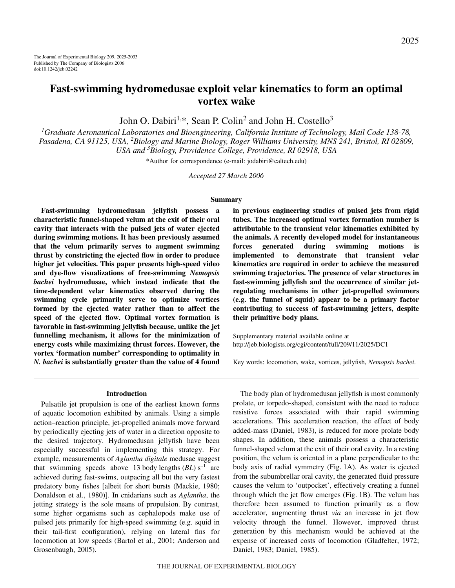# **Fast-swimming hydromedusae exploit velar kinematics to form an optimal vortex wake**

John O. Dabiri<sup>1,\*</sup>, Sean P. Colin<sup>2</sup> and John H. Costello<sup>3</sup>

*1 Graduate Aeronautical Laboratories and Bioengineering, California Institute of Technology, Mail Code 138-78, Pasadena, CA 91125, USA, 2 Biology and Marine Biology, Roger Williams University, MNS 241, Bristol, RI 02809, USA and 3 Biology, Providence College, Providence, RI 02918, USA*

\*Author for correspondence (e-mail: jodabiri@caltech.edu)

*Accepted 27 March 2006*

### **Summary**

**Fast-swimming hydromedusan jellyfish possess a characteristic funnel-shaped velum at the exit of their oral cavity that interacts with the pulsed jets of water ejected during swimming motions. It has been previously assumed that the velum primarily serves to augment swimming thrust by constricting the ejected flow in order to produce higher jet velocities. This paper presents high-speed video and dye-flow visualizations of free-swimming** *Nemopsis bachei* **hydromedusae, which instead indicate that the time-dependent velar kinematics observed during the swimming cycle primarily serve to optimize vortices formed by the ejected water rather than to affect the speed of the ejected flow. Optimal vortex formation is favorable in fast-swimming jellyfish because, unlike the jet funnelling mechanism, it allows for the minimization of energy costs while maximizing thrust forces. However, the vortex 'formation number' corresponding to optimality in** *N. bachei* **is substantially greater than the value of 4 found**

**in previous engineering studies of pulsed jets from rigid tubes. The increased optimal vortex formation number is attributable to the transient velar kinematics exhibited by the animals. A recently developed model for instantaneous forces generated during swimming motions is implemented to demonstrate that transient velar kinematics are required in order to achieve the measured swimming trajectories. The presence of velar structures in fast-swimming jellyfish and the occurrence of similar jetregulating mechanisms in other jet-propelled swimmers (e.g. the funnel of squid) appear to be a primary factor contributing to success of fast-swimming jetters, despite their primitive body plans.**

Supplementary material available online at http://jeb.biologists.org/cgi/content/full/209/11/2025/DC1

Key words: locomotion, wake, vortices, jellyfish, *Nemopsis bachei*.

### **Introduction**

Pulsatile jet propulsion is one of the earliest known forms of aquatic locomotion exhibited by animals. Using a simple action–reaction principle, jet-propelled animals move forward by periodically ejecting jets of water in a direction opposite to the desired trajectory. Hydromedusan jellyfish have been especially successful in implementing this strategy. For example, measurements of *Aglantha digitale* medusae suggest that swimming speeds above 13 body lengths  $(BL)$  s<sup>-1</sup> are achieved during fast-swims, outpacing all but the very fastest predatory bony fishes [albeit for short bursts (Mackie, 1980; Donaldson et al., 1980)]. In cnidarians such as *Aglantha*, the jetting strategy is the sole means of propulsion. By contrast, some higher organisms such as cephalopods make use of pulsed jets primarily for high-speed swimming (e.g. squid in their tail-first configuration), relying on lateral fins for locomotion at low speeds (Bartol et al., 2001; Anderson and Grosenbaugh, 2005).

The body plan of hydromedusan jellyfish is most commonly prolate, or torpedo-shaped, consistent with the need to reduce resistive forces associated with their rapid swimming accelerations. This acceleration reaction, the effect of body added-mass (Daniel, 1983), is reduced for more prolate body shapes. In addition, these animals possess a characteristic funnel-shaped velum at the exit of their oral cavity. In a resting position, the velum is oriented in a plane perpendicular to the body axis of radial symmetry (Fig. 1A). As water is ejected from the subumbrellar oral cavity, the generated fluid pressure causes the velum to 'outpocket', effectively creating a funnel through which the jet flow emerges (Fig.  $1B$ ). The velum has therefore been assumed to function primarily as a flow accelerator, augmenting thrust *via* an increase in jet flow velocity through the funnel. However, improved thrust generation by this mechanism would be achieved at the expense of increased costs of locomotion (Gladfelter, 1972; Daniel, 1983; Daniel, 1985).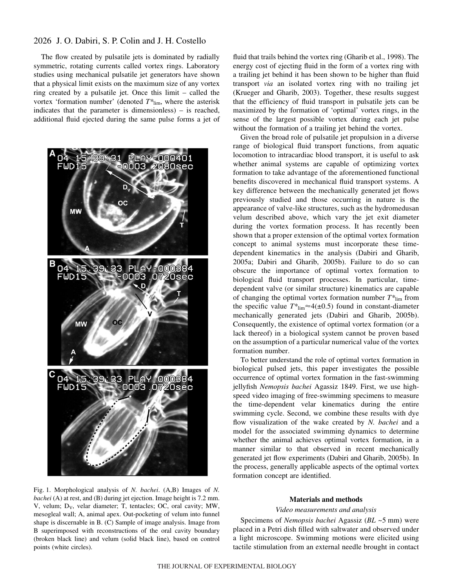# 2026 J. O. Dabiri, S. P. Colin and J. H. Costello

The flow created by pulsatile jets is dominated by radially symmetric, rotating currents called vortex rings. Laboratory studies using mechanical pulsatile jet generators have shown that a physical limit exists on the maximum size of any vortex ring created by a pulsatile jet. Once this limit – called the vortex 'formation number' (denoted *T\**lim, where the asterisk indicates that the parameter is dimensionless) – is reached, additional fluid ejected during the same pulse forms a jet of

PLAY-000401 0003.2080sec 04 15:39:33 PLAY-000384 FWD15 0003 .0720sec **MW** C 04 15:39:33 PLAY-000384  $-0003$ FWD15 .07 20sec

Fig. 1. Morphological analysis of *N. bachei*. (A,B) Images of *N*. *bachei* (A) at rest, and (B) during jet ejection. Image height is 7.2 mm. V, velum;  $D_V$ , velar diameter; T, tentacles; OC, oral cavity; MW, mesogleal wall; A, animal apex. Out-pocketing of velum into funnel shape is discernable in B. (C) Sample of image analysis. Image from B superimposed with reconstructions of the oral cavity boundary (broken black line) and velum (solid black line), based on control points (white circles).

fluid that trails behind the vortex ring (Gharib et al., 1998). The energy cost of ejecting fluid in the form of a vortex ring with a trailing jet behind it has been shown to be higher than fluid transport *via* an isolated vortex ring with no trailing jet (Krueger and Gharib, 2003). Together, these results suggest that the efficiency of fluid transport in pulsatile jets can be maximized by the formation of 'optimal' vortex rings, in the sense of the largest possible vortex during each jet pulse without the formation of a trailing jet behind the vortex.

Given the broad role of pulsatile jet propulsion in a diverse range of biological fluid transport functions, from aquatic locomotion to intracardiac blood transport, it is useful to ask whether animal systems are capable of optimizing vortex formation to take advantage of the aforementioned functional benefits discovered in mechanical fluid transport systems. A key difference between the mechanically generated jet flows previously studied and those occurring in nature is the appearance of valve-like structures, such as the hydromedusan velum described above, which vary the jet exit diameter during the vortex formation process. It has recently been shown that a proper extension of the optimal vortex formation concept to animal systems must incorporate these timedependent kinematics in the analysis (Dabiri and Gharib, 2005a; Dabiri and Gharib, 2005b). Failure to do so can obscure the importance of optimal vortex formation to biological fluid transport processes. In particular, timedependent valve (or similar structure) kinematics are capable of changing the optimal vortex formation number *T\**lim from the specific value  $T^*$ <sub>lim</sub> $\approx$ 4( $\pm$ 0.5) found in constant-diameter mechanically generated jets (Dabiri and Gharib, 2005b). Consequently, the existence of optimal vortex formation (or a lack thereof) in a biological system cannot be proven based on the assumption of a particular numerical value of the vortex formation number.

To better understand the role of optimal vortex formation in biological pulsed jets, this paper investigates the possible occurrence of optimal vortex formation in the fast-swimming jellyfish *Nemopsis bachei* Agassiz 1849. First, we use highspeed video imaging of free-swimming specimens to measure the time-dependent velar kinematics during the entire swimming cycle. Second, we combine these results with dye flow visualization of the wake created by *N. bachei* and a model for the associated swimming dynamics to determine whether the animal achieves optimal vortex formation, in a manner similar to that observed in recent mechanically generated jet flow experiments (Dabiri and Gharib, 2005b). In the process, generally applicable aspects of the optimal vortex formation concept are identified.

### **Materials and methods**

### *Video measurements and analysis*

Specimens of *Nemopsis bachei* Agassiz (*BL* ~5·mm) were placed in a Petri dish filled with saltwater and observed under a light microscope. Swimming motions were elicited using tactile stimulation from an external needle brought in contact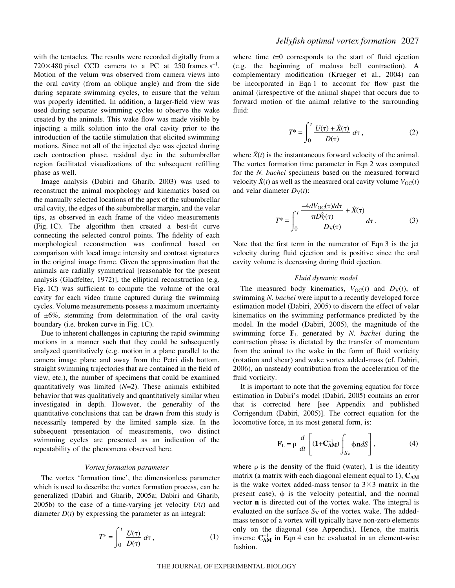with the tentacles. The results were recorded digitally from a 720 $\times$ 480 pixel CCD camera to a PC at 250 frames s<sup>-1</sup>. Motion of the velum was observed from camera views into the oral cavity (from an oblique angle) and from the side during separate swimming cycles, to ensure that the velum was properly identified. In addition, a larger-field view was used during separate swimming cycles to observe the wake created by the animals. This wake flow was made visible by injecting a milk solution into the oral cavity prior to the introduction of the tactile stimulation that elicited swimming motions. Since not all of the injected dye was ejected during each contraction phase, residual dye in the subumbrellar region facilitated visualizations of the subsequent refilling phase as well.

Image analysis (Dabiri and Gharib, 2003) was used to reconstruct the animal morphology and kinematics based on the manually selected locations of the apex of the subumbrellar oral cavity, the edges of the subumbrellar margin, and the velar tips, as observed in each frame of the video measurements (Fig. 1C). The algorithm then created a best-fit curve connecting the selected control points. The fidelity of each morphological reconstruction was confirmed based on comparison with local image intensity and contrast signatures in the original image frame. Given the approximation that the animals are radially symmetrical [reasonable for the present analysis (Gladfelter, 1972)], the elliptical reconstruction (e.g. Fig. 1C) was sufficient to compute the volume of the oral cavity for each video frame captured during the swimming cycles. Volume measurements possess a maximum uncertainty of  $\pm 6\%$ , stemming from determination of the oral cavity boundary (i.e. broken curve in Fig. 1C).

Due to inherent challenges in capturing the rapid swimming motions in a manner such that they could be subsequently analyzed quantitatively (e.g. motion in a plane parallel to the camera image plane and away from the Petri dish bottom, straight swimming trajectories that are contained in the field of view, etc.), the number of specimens that could be examined quantitatively was limited (*N*=2). These animals exhibited behavior that was qualitatively and quantitatively similar when investigated in depth. However, the generality of the quantitative conclusions that can be drawn from this study is necessarily tempered by the limited sample size. In the subsequent presentation of measurements, two distinct swimming cycles are presented as an indication of the repeatability of the phenomena observed here.

### *Vortex formation parameter*

The vortex 'formation time', the dimensionless parameter which is used to describe the vortex formation process, can be generalized (Dabiri and Gharib, 2005a; Dabiri and Gharib, 2005b) to the case of a time-varying jet velocity  $U(t)$  and diameter  $D(t)$  by expressing the parameter as an integral:

$$
T^* = \int_0^t \frac{U(\tau)}{D(\tau)} d\tau, \qquad (1)
$$

where time  $t=0$  corresponds to the start of fluid ejection (e.g. the beginning of medusa bell contraction). A complementary modification (Krueger et al., 2004) can be incorporated in Eqn 1 to account for flow past the animal (irrespective of the animal shape) that occurs due to forward motion of the animal relative to the surrounding fluid:

$$
T^* = \int_0^t \frac{U(\tau) + \dot{X}(\tau)}{D(\tau)} d\tau, \qquad (2)
$$

where  $\dot{X}(t)$  is the instantaneous forward velocity of the animal. The vortex formation time parameter in Eqn 2 was computed for the *N. bachei* specimens based on the measured forward velocity  $X(t)$  as well as the measured oral cavity volume  $V_{\text{OC}}(t)$ and velar diameter  $D_V(t)$ :

$$
T^* = \int_0^t \frac{\frac{-4dV_{\text{OC}}(\tau)/d\tau}{\pi D_{\text{V}}^2(\tau)} + \dot{X}(\tau)}{D_{\text{V}}(\tau)} d\tau. \tag{3}
$$

Note that the first term in the numerator of Eqn 3 is the jet velocity during fluid ejection and is positive since the oral cavity volume is decreasing during fluid ejection.

### *Fluid dynamic model*

The measured body kinematics,  $V_{OC}(t)$  and  $D_V(t)$ , of swimming *N. bachei* were input to a recently developed force estimation model (Dabiri, 2005) to discern the effect of velar kinematics on the swimming performance predicted by the model. In the model (Dabiri, 2005), the magnitude of the swimming force **F**<sup>L</sup> generated by *N. bachei* during the contraction phase is dictated by the transfer of momentum from the animal to the wake in the form of fluid vorticity (rotation and shear) and wake vortex added-mass (cf. Dabiri, 2006), an unsteady contribution from the acceleration of the fluid vorticity.

It is important to note that the governing equation for force estimation in Dabiri's model (Dabiri, 2005) contains an error that is corrected here [see Appendix and published Corrigendum (Dabiri, 2005)]. The correct equation for the locomotive force, in its most general form, is:

$$
\mathbf{F}_{\mathcal{L}} = \rho \frac{d}{dt} \left[ (\mathbf{1} + \mathbf{C}_{\mathbf{A}\mathbf{M}}^{-1}) \int_{S_{\mathcal{V}}} \phi \mathbf{n} dS \right],\tag{4}
$$

where  $\rho$  is the density of the fluid (water), 1 is the identity matrix (a matrix with each diagonal element equal to 1),  $C_{AM}$ is the wake vortex added-mass tensor (a  $3\times3$  matrix in the present case),  $\phi$  is the velocity potential, and the normal vector **n** is directed out of the vortex wake. The integral is evaluated on the surface  $S_V$  of the vortex wake. The addedmass tensor of a vortex will typically have non-zero elements only on the diagonal (see Appendix). Hence, the matrix inverse  $C_{AM}^{-1}$  in Eqn 4 can be evaluated in an element-wise fashion.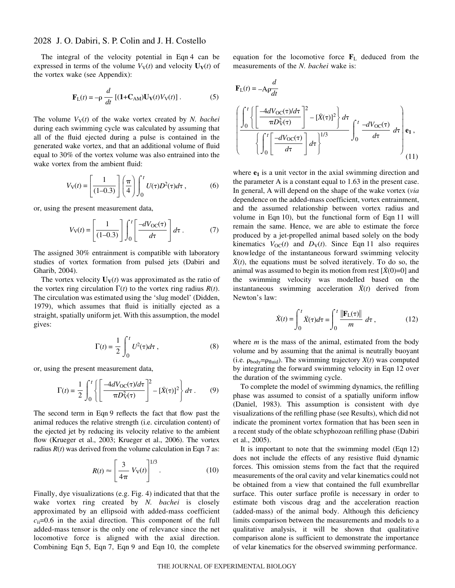# 2028 J. O. Dabiri, S. P. Colin and J. H. Costello

The integral of the velocity potential in Eqn 4 can be expressed in terms of the volume  $V_V(t)$  and velocity  $U_V(t)$  of the vortex wake (see Appendix):

$$
\mathbf{F}_{\rm L}(t) = -\rho \frac{d}{dt} \left[ (\mathbf{1} + \mathbf{C}_{\rm AM}) \mathbf{U}_{\rm V}(t) V_{\rm V}(t) \right]. \tag{5}
$$

The volume  $V_V(t)$  of the wake vortex created by *N. bachei* during each swimming cycle was calculated by assuming that all of the fluid ejected during a pulse is contained in the generated wake vortex, and that an additional volume of fluid equal to 30% of the vortex volume was also entrained into the wake vortex from the ambient fluid:

$$
V_{\mathcal{V}}(t) = \left[\frac{1}{(1-0.3)}\right] \left(\frac{\pi}{4}\right) \int_0^t U(\tau) D^2(\tau) d\tau ,\qquad (6)
$$

or, using the present measurement data,

$$
V_{\rm V}(t) = \left[\frac{1}{(1-0.3)}\right] \int_0^t \left[\frac{-dV_{\rm OC}(\tau)}{d\tau}\right] d\tau \,. \tag{7}
$$

The assigned 30% entrainment is compatible with laboratory studies of vortex formation from pulsed jets (Dabiri and Gharib, 2004).

The vortex velocity  $U_V(t)$  was approximated as the ratio of the vortex ring circulation  $\Gamma(t)$  to the vortex ring radius  $R(t)$ . The circulation was estimated using the 'slug model' (Didden, 1979), which assumes that fluid is initially ejected as a straight, spatially uniform jet. With this assumption, the model gives:

$$
\Gamma(t) = \frac{1}{2} \int_0^t U^2(\tau) d\tau , \qquad (8)
$$

or, using the present measurement data,

$$
\Gamma(t) = \frac{1}{2} \int_0^t \left\{ \left[ \frac{-4dV_{\text{OC}}(\tau)/d\tau}{\pi D_V^2(\tau)} \right]^2 - \left[ \dot{X}(\tau) \right]^2 \right\} d\tau \,. \tag{9}
$$

The second term in Eqn 9 reflects the fact that flow past the animal reduces the relative strength (i.e. circulation content) of the ejected jet by reducing its velocity relative to the ambient flow (Krueger et al., 2003; Krueger et al., 2006). The vortex radius  $R(t)$  was derived from the volume calculation in Eqn 7 as:

$$
R(t) \approx \left[\frac{3}{4\pi} V_{\rm V}(t)\right]^{1/3}.\tag{10}
$$

Finally, dye visualizations (e.g. Fig. 4) indicated that that the wake vortex ring created by *N. bachei* is closely approximated by an ellipsoid with added-mass coefficient  $c_{ii}=0.6$  in the axial direction. This component of the full added-mass tensor is the only one of relevance since the net locomotive force is aligned with the axial direction. Combining Eqn 5, Eqn 7, Eqn 9 and Eqn 10, the complete equation for the locomotive force **F**<sup>L</sup> deduced from the measurements of the *N. bachei* wake is:

$$
\mathbf{F}_{L}(t) = -A\rho \frac{d}{dt}
$$
\n
$$
\left\{\begin{aligned}\n\int_{0}^{t} \left\{\left[\frac{-4dV_{\text{OC}}(\tau)/d\tau}{\pi D_{\text{V}}^{2}(\tau)}\right]^{2} - \left[\dot{X}(\tau)\right]^{2}\right\} d\tau \\
\left\{\int_{0}^{t} \left[\frac{-dV_{\text{OC}}(\tau)}{d\tau}\right] d\tau\right\}^{1/3}\n\end{aligned}\right\} \int_{0}^{t} \frac{-dV_{\text{OC}}(\tau)}{d\tau} d\tau \right\} \mathbf{e}_{1},
$$
\n(11)

where  $e_1$  is a unit vector in the axial swimming direction and the parameter A is a constant equal to 1.63 in the present case. In general, A will depend on the shape of the wake vortex (*via* dependence on the added-mass coefficient, vortex entrainment, and the assumed relationship between vortex radius and volume in Eqn 10), but the functional form of Eqn 11 will remain the same. Hence, we are able to estimate the force produced by a jet-propelled animal based solely on the body kinematics  $V_{OC}(t)$  and  $D_V(t)$ . Since Eqn 11 also requires knowledge of the instantaneous forward swimming velocity  $\dot{X}(t)$ , the equations must be solved iteratively. To do so, the animal was assumed to begin its motion from rest  $[\dot{X}(0)=0]$  and the swimming velocity was modelled based on the instantaneous swimming acceleration  $\ddot{X}(t)$  derived from Newton's law:

$$
\dot{X}(t) = \int_0^t \ddot{X}(\tau) d\tau = \int_0^t \frac{\|\mathbf{F}_L(\tau)\|}{m} d\tau, \qquad (12)
$$

where *m* is the mass of the animal, estimated from the body volume and by assuming that the animal is neutrally buoyant (i.e.  $\rho_{\text{body}} = \rho_{\text{fluid}}$ ). The swimming trajectory *X*(*t*) was computed by integrating the forward swimming velocity in Eqn·12 over the duration of the swimming cycle.

To complete the model of swimming dynamics, the refilling phase was assumed to consist of a spatially uniform inflow (Daniel, 1983). This assumption is consistent with dye visualizations of the refilling phase (see Results), which did not indicate the prominent vortex formation that has been seen in a recent study of the oblate schyphozoan refilling phase (Dabiri et al., 2005).

It is important to note that the swimming model (Eqn·12) does not include the effects of any resistive fluid dynamic forces. This omission stems from the fact that the required measurements of the oral cavity and velar kinematics could not be obtained from a view that contained the full exumbrellar surface. This outer surface profile is necessary in order to estimate both viscous drag and the acceleration reaction (added-mass) of the animal body. Although this deficiency limits comparison between the measurements and models to a qualitative analysis, it will be shown that qualitative comparison alone is sufficient to demonstrate the importance of velar kinematics for the observed swimming performance.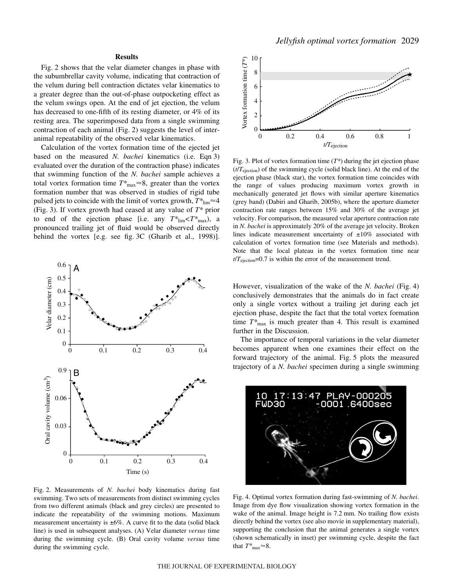## **Results**

Fig. 2 shows that the velar diameter changes in phase with the subumbrellar cavity volume, indicating that contraction of the velum during bell contraction dictates velar kinematics to a greater degree than the out-of-phase outpocketing effect as the velum swings open. At the end of jet ejection, the velum has decreased to one-fifth of its resting diameter, or 4% of its resting area. The superimposed data from a single swimming contraction of each animal (Fig.  $2$ ) suggests the level of interanimal repeatability of the observed velar kinematics.

Calculation of the vortex formation time of the ejected jet based on the measured *N. bachei* kinematics (i.e. Eqn 3) evaluated over the duration of the contraction phase) indicates that swimming function of the *N. bachei* sample achieves a total vortex formation time  $T^*_{\text{max}} \approx 8$ , greater than the vortex formation number that was observed in studies of rigid tube pulsed jets to coincide with the limit of vortex growth,  $T^*_{\text{lim}}$   $\approx$  4 (Fig. 3). If vortex growth had ceased at any value of  $T^*$  prior to end of the ejection phase [i.e. any  $T^*$ <sub>lim</sub> $\lt T^*$ <sub>max</sub>), a pronounced trailing jet of fluid would be observed directly behind the vortex [e.g. see fig. 3C (Gharib et al., 1998)].



Fig. 2. Measurements of *N. bachei* body kinematics during fast swimming. Two sets of measurements from distinct swimming cycles from two different animals (black and grey circles) are presented to indicate the repeatability of the swimming motions. Maximum measurement uncertainty is  $\pm 6\%$ . A curve fit to the data (solid black line) is used in subsequent analyses. (A) Velar diameter *versus* time during the swimming cycle. (B) Oral cavity volume *versus* time during the swimming cycle.



Fig. 3. Plot of vortex formation time  $(T^*)$  during the jet ejection phase  $(t/T_{ejection})$  of the swimming cycle (solid black line). At the end of the ejection phase (black star), the vortex formation time coincides with the range of values producing maximum vortex growth in mechanically generated jet flows with similar aperture kinematics (grey band) (Dabiri and Gharib, 2005b), where the aperture diameter contraction rate ranges between 15% and 30% of the average jet velocity. For comparison, the measured velar aperture contraction rate in *N. bachei* is approximately 20% of the average jet velocity. Broken lines indicate measurement uncertainty of  $\pm 10\%$  associated with calculation of vortex formation time (see Materials and methods). Note that the local plateau in the vortex formation time near  $t/T_{ejection}$ =0.7 is within the error of the measurement trend.

However, visualization of the wake of the *N. bachei* (Fig. 4) conclusively demonstrates that the animals do in fact create only a single vortex without a trailing jet during each jet ejection phase, despite the fact that the total vortex formation time  $T^*$ <sub>max</sub> is much greater than 4. This result is examined further in the Discussion.

The importance of temporal variations in the velar diameter becomes apparent when one examines their effect on the forward trajectory of the animal. Fig. 5 plots the measured trajectory of a *N. bachei* specimen during a single swimming



Fig. 4. Optimal vortex formation during fast-swimming of *N. bachei*. Image from dye flow visualization showing vortex formation in the wake of the animal. Image height is 7.2 mm. No trailing flow exists directly behind the vortex (see also movie in supplementary material), supporting the conclusion that the animal generates a single vortex (shown schematically in inset) per swimming cycle, despite the fact that  $T^*_{\text{max}} \approx 8$ .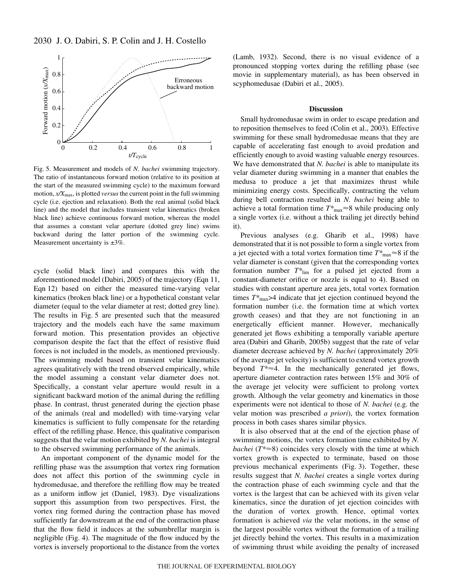

Fig. 5. Measurement and models of *N. bachei* swimming trajectory. The ratio of instantaneous forward motion (relative to its position at the start of the measured swimming cycle) to the maximum forward motion,  $x/X_{\text{max}}$ , is plotted *versus* the current point in the full swimming cycle (i.e. ejection and relaxation). Both the real animal (solid black line) and the model that includes transient velar kinematics (broken black line) achieve continuous forward motion, whereas the model that assumes a constant velar aperture (dotted grey line) swims backward during the latter portion of the swimming cycle. Measurement uncertainty is  $\pm 3\%$ .

cycle (solid black line) and compares this with the aforementioned model (Dabiri, 2005) of the trajectory (Eqn·11, Eqn 12) based on either the measured time-varying velar kinematics (broken black line) or a hypothetical constant velar diameter (equal to the velar diameter at rest; dotted grey line). The results in Fig. 5 are presented such that the measured trajectory and the models each have the same maximum forward motion. This presentation provides an objective comparison despite the fact that the effect of resistive fluid forces is not included in the models, as mentioned previously. The swimming model based on transient velar kinematics agrees qualitatively with the trend observed empirically, while the model assuming a constant velar diameter does not. Specifically, a constant velar aperture would result in a significant backward motion of the animal during the refilling phase. In contrast, thrust generated during the ejection phase of the animals (real and modelled) with time-varying velar kinematics is sufficient to fully compensate for the retarding effect of the refilling phase. Hence, this qualitative comparison suggests that the velar motion exhibited by *N. bachei* is integral to the observed swimming performance of the animals.

An important component of the dynamic model for the refilling phase was the assumption that vortex ring formation does not affect this portion of the swimming cycle in hydromedusae, and therefore the refilling flow may be treated as a uniform inflow jet (Daniel, 1983). Dye visualizations support this assumption from two perspectives. First, the vortex ring formed during the contraction phase has moved sufficiently far downstream at the end of the contraction phase that the flow field it induces at the subumbrellar margin is negligible (Fig. 4). The magnitude of the flow induced by the vortex is inversely proportional to the distance from the vortex (Lamb, 1932). Second, there is no visual evidence of a pronounced stopping vortex during the refilling phase (see movie in supplementary material), as has been observed in scyphomedusae (Dabiri et al., 2005).

### **Discussion**

Small hydromedusae swim in order to escape predation and to reposition themselves to feed (Colin et al., 2003). Effective swimming for these small hydromedusae means that they are capable of accelerating fast enough to avoid predation and efficiently enough to avoid wasting valuable energy resources. We have demonstrated that *N. bachei* is able to manipulate its velar diameter during swimming in a manner that enables the medusa to produce a jet that maximizes thrust while minimizing energy costs. Specifically, contracting the velum during bell contraction resulted in *N. bachei* being able to achieve a total formation time  $T^*_{\text{max}} \approx 8$  while producing only a single vortex (i.e. without a thick trailing jet directly behind it).

Previous analyses (e.g. Gharib et al., 1998) have demonstrated that it is not possible to form a single vortex from a jet ejected with a total vortex formation time  $T^*_{\text{max}} \approx 8$  if the velar diameter is constant (given that the corresponding vortex formation number *T\**lim for a pulsed jet ejected from a constant-diameter orifice or nozzle is equal to 4). Based on studies with constant aperture area jets, total vortex formation times *T\**max>4 indicate that jet ejection continued beyond the formation number (i.e. the formation time at which vortex growth ceases) and that they are not functioning in an energetically efficient manner. However, mechanically generated jet flows exhibiting a temporally variable aperture area (Dabiri and Gharib, 2005b) suggest that the rate of velar diameter decrease achieved by *N. bachei* (approximately 20% of the average jet velocity) is sufficient to extend vortex growth beyond  $T^* \approx 4$ . In the mechanically generated jet flows, aperture diameter contraction rates between 15% and 30% of the average jet velocity were sufficient to prolong vortex growth. Although the velar geometry and kinematics in those experiments were not identical to those of *N. bachei* (e.g. the velar motion was prescribed *a priori*), the vortex formation process in both cases shares similar physics.

It is also observed that at the end of the ejection phase of swimming motions, the vortex formation time exhibited by *N. bachei* ( $T^* \approx 8$ ) coincides very closely with the time at which vortex growth is expected to terminate, based on those previous mechanical experiments (Fig. 3). Together, these results suggest that *N. bachei* creates a single vortex during the contraction phase of each swimming cycle and that the vortex is the largest that can be achieved with its given velar kinematics, since the duration of jet ejection coincides with the duration of vortex growth. Hence, optimal vortex formation is achieved *via* the velar motions, in the sense of the largest possible vortex without the formation of a trailing jet directly behind the vortex. This results in a maximization of swimming thrust while avoiding the penalty of increased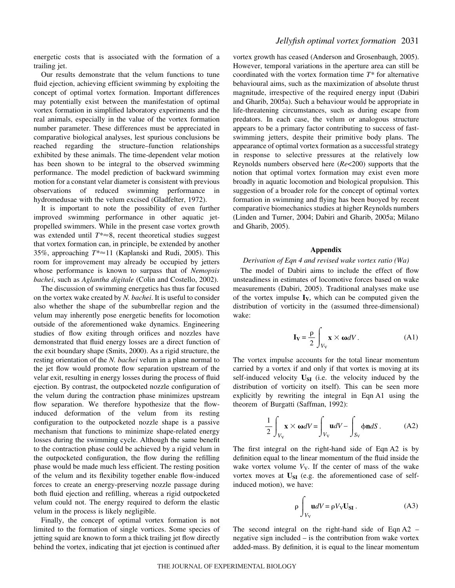energetic costs that is associated with the formation of a trailing jet.

Our results demonstrate that the velum functions to tune fluid ejection, achieving efficient swimming by exploiting the concept of optimal vortex formation. Important differences may potentially exist between the manifestation of optimal vortex formation in simplified laboratory experiments and the real animals, especially in the value of the vortex formation number parameter. These differences must be appreciated in comparative biological analyses, lest spurious conclusions be reached regarding the structure–function relationships exhibited by these animals. The time-dependent velar motion has been shown to be integral to the observed swimming performance. The model prediction of backward swimming motion for a constant velar diameter is consistent with previous observations of reduced swimming performance in hydromedusae with the velum excised (Gladfelter, 1972).

It is important to note the possibility of even further improved swimming performance in other aquatic jetpropelled swimmers. While in the present case vortex growth was extended until  $T^* \approx 8$ , recent theoretical studies suggest that vortex formation can, in principle, be extended by another 35%, approaching *T*<sup>\*</sup>≈11 (Kaplanski and Rudi, 2005). This room for improvement may already be occupied by jetters whose performance is known to surpass that of *Nemopsis bachei*, such as *Aglantha digitale* (Colin and Costello, 2002).

The discussion of swimming energetics has thus far focused on the vortex wake created by *N. bachei*. It is useful to consider also whether the shape of the subumbrellar region and the velum may inherently pose energetic benefits for locomotion outside of the aforementioned wake dynamics. Engineering studies of flow exiting through orifices and nozzles have demonstrated that fluid energy losses are a direct function of the exit boundary shape (Smits, 2000). As a rigid structure, the resting orientation of the *N. bachei* velum in a plane normal to the jet flow would promote flow separation upstream of the velar exit, resulting in energy losses during the process of fluid ejection. By contrast, the outpocketed nozzle configuration of the velum during the contraction phase minimizes upstream flow separation. We therefore hypothesize that the flowinduced deformation of the velum from its resting configuration to the outpocketed nozzle shape is a passive mechanism that functions to minimize shape-related energy losses during the swimming cycle. Although the same benefit to the contraction phase could be achieved by a rigid velum in the outpocketed configuration, the flow during the refilling phase would be made much less efficient. The resting position of the velum and its flexibility together enable flow-induced forces to create an energy-preserving nozzle passage during both fluid ejection and refilling, whereas a rigid outpocketed velum could not. The energy required to deform the elastic velum in the process is likely negligible.

Finally, the concept of optimal vortex formation is not limited to the formation of single vortices. Some species of jetting squid are known to form a thick trailing jet flow directly behind the vortex, indicating that jet ejection is continued after

vortex growth has ceased (Anderson and Grosenbaugh, 2005). However, temporal variations in the aperture area can still be coordinated with the vortex formation time *T\** for alternative behavioural aims, such as the maximization of absolute thrust magnitude, irrespective of the required energy input (Dabiri and Gharib, 2005a). Such a behaviour would be appropriate in life-threatening circumstances, such as during escape from predators. In each case, the velum or analogous structure appears to be a primary factor contributing to success of fastswimming jetters, despite their primitive body plans. The appearance of optimal vortex formation as a successful strategy in response to selective pressures at the relatively low Reynolds numbers observed here (*Re*<200) supports that the notion that optimal vortex formation may exist even more broadly in aquatic locomotion and biological propulsion. This suggestion of a broader role for the concept of optimal vortex formation in swimming and flying has been buoyed by recent comparative biomechanics studies at higher Reynolds numbers (Linden and Turner, 2004; Dabiri and Gharib, 2005a; Milano and Gharib, 2005).

### **Appendix**

### *Derivation of Eqn·4 and revised wake vortex ratio (Wa)*

The model of Dabiri aims to include the effect of flow unsteadiness in estimates of locomotive forces based on wake measurements (Dabiri, 2005). Traditional analyses make use of the vortex impulse  $I_V$ , which can be computed given the distribution of vorticity in the (assumed three-dimensional) wake:

$$
\mathbf{I}_{\mathbf{V}} = \frac{\rho}{2} \int_{V_{\mathbf{V}}} \mathbf{x} \times \boldsymbol{\omega} dV.
$$
 (A1)

The vortex impulse accounts for the total linear momentum carried by a vortex if and only if that vortex is moving at its self-induced velocity **USI** (i.e. the velocity induced by the distribution of vorticity on itself). This can be seen more explicitly by rewriting the integral in Eqn A1 using the theorem of Burgatti (Saffman, 1992):

$$
\frac{1}{2} \int_{V_{\text{V}}} \mathbf{x} \times \boldsymbol{\omega} dV = \int_{V_{\text{V}}} \mathbf{u} dV - \int_{S_{\text{V}}} \phi \mathbf{n} dS. \tag{A2}
$$

The first integral on the right-hand side of Eqn A2 is by definition equal to the linear momentum of the fluid inside the wake vortex volume  $V_V$ . If the center of mass of the wake vortex moves at  $U_{SI}$  (e.g. the aforementioned case of selfinduced motion), we have:

$$
\rho \int_{V_{\rm V}} \mathbf{u}dV = \rho V_{\rm V} \mathbf{U}_{\rm SI} \,. \tag{A3}
$$

The second integral on the right-hand side of Eqn  $A2$ negative sign included – is the contribution from wake vortex added-mass. By definition, it is equal to the linear momentum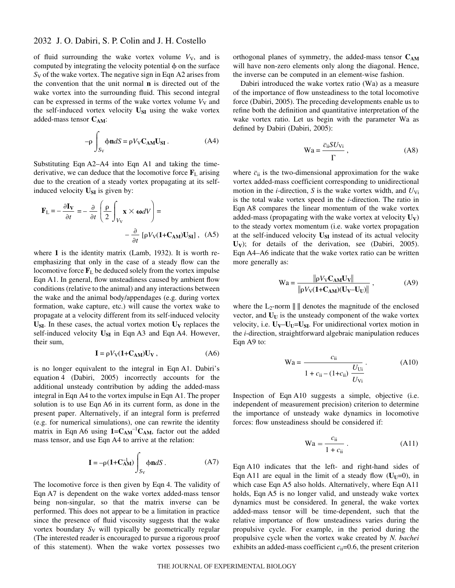# 2032 J. O. Dabiri, S. P. Colin and J. H. Costello

of fluid surrounding the wake vortex volume  $V_V$ , and is computed by integrating the velocity potential  $\phi$  on the surface *S*<sub>V</sub> of the wake vortex. The negative sign in Eqn A2 arises from the convention that the unit normal **n** is directed out of the wake vortex into the surrounding fluid. This second integral can be expressed in terms of the wake vortex volume  $V_V$  and the self-induced vortex velocity U<sub>SI</sub> using the wake vortex added-mass tensor  $C_{AM}$ :

$$
-\rho \int_{S_V} \phi \mathbf{n} dS = \rho V_V \mathbf{C}_{AM} \mathbf{U}_{SI} .
$$
 (A4)

Substituting Eqn  $A2-A4$  into Eqn A1 and taking the timederivative, we can deduce that the locomotive force  $\mathbf{F}_L$  arising due to the creation of a steady vortex propagating at its selfinduced velocity  $U_{SI}$  is given by:

$$
\mathbf{F}_{\rm L} = -\frac{\partial \mathbf{I}_{\mathbf{V}}}{\partial t} = -\frac{\partial}{\partial t} \left( \frac{\rho}{2} \int_{V_{\rm V}} \mathbf{x} \times \boldsymbol{\omega} dV \right) = -\frac{\partial}{\partial t} \left[ \rho V_{\rm V} (\mathbf{1} + \mathbf{C}_{\mathbf{A}\mathbf{M}}) \mathbf{U}_{\mathbf{S}\mathbf{I}} \right], \quad (A5)
$$

where **1** is the identity matrix (Lamb, 1932). It is worth reemphasizing that only in the case of a steady flow can the locomotive force  $\mathbf{F}_L$  be deduced solely from the vortex impulse Eqn A1. In general, flow unsteadiness caused by ambient flow conditions (relative to the animal) and any interactions between the wake and the animal body/appendages (e.g. during vortex formation, wake capture, etc.) will cause the vortex wake to propagate at a velocity different from its self-induced velocity  $U_{SI}$ . In these cases, the actual vortex motion  $U_V$  replaces the self-induced velocity U<sub>SI</sub> in Eqn A3 and Eqn A4. However, their sum,

$$
\mathbf{I} = \rho V_{\text{V}} (1 + \mathbf{C}_{\text{AM}}) \mathbf{U}_{\text{V}} , \qquad (A6)
$$

is no longer equivalent to the integral in Eqn A1. Dabiri's equation 4 (Dabiri, 2005) incorrectly accounts for the additional unsteady contribution by adding the added-mass integral in Eqn A4 to the vortex impulse in Eqn A1. The proper solution is to use Eqn A6 in its current form, as done in the present paper. Alternatively, if an integral form is preferred (e.g. for numerical simulations), one can rewrite the identity matrix in Eqn A6 using  $1=C_{AM}^{-1}C_{AM}$ , factor out the added mass tensor, and use Eqn A4 to arrive at the relation:

$$
\mathbf{I} = -\rho (1 + \mathbf{C}_{AM}^{-1}) \int_{S_V} \phi \mathbf{n} dS . \tag{A7}
$$

The locomotive force is then given by Eqn 4. The validity of Eqn·A7 is dependent on the wake vortex added-mass tensor being non-singular, so that the matrix inverse can be performed. This does not appear to be a limitation in practice since the presence of fluid viscosity suggests that the wake vortex boundary S<sub>V</sub> will typically be geometrically regular (The interested reader is encouraged to pursue a rigorous proof of this statement). When the wake vortex possesses two

orthogonal planes of symmetry, the added-mass tensor  $C_{AM}$ will have non-zero elements only along the diagonal. Hence, the inverse can be computed in an element-wise fashion.

Dabiri introduced the wake vortex ratio (Wa) as a measure of the importance of flow unsteadiness to the total locomotive force (Dabiri, 2005). The preceding developments enable us to refine both the definition and quantitative interpretation of the wake vortex ratio. Let us begin with the parameter Wa as defined by Dabiri (Dabiri, 2005):

$$
Wa = \frac{\overline{c}_{ii} S U_{Vi}}{\Gamma}, \qquad (A8)
$$

where  $\bar{c}_{ii}$  is the two-dimensional approximation for the wake vortex added-mass coefficient corresponding to unidirectional motion in the *i*-direction, *S* is the wake vortex width, and  $U_{Vi}$ is the total wake vortex speed in the *i*-direction. The ratio in Eqn A8 compares the linear momentum of the wake vortex added-mass (propagating with the wake vortex at velocity  $U_V$ ) to the steady vortex momentum (i.e. wake vortex propagation at the self-induced velocity **USI** instead of its actual velocity U<sub>V</sub>); for details of the derivation, see (Dabiri, 2005). Eqn A4–A6 indicate that the wake vortex ratio can be written more generally as:

$$
Wa = \frac{\|\rho V_{V} C_{AM} U_{V}\|}{\|\rho V_{V} (1 + C_{AM})(U_{V} - U_{U})\|},
$$
 (A9)

where the  $L_2$ -norm  $\| \cdot \|$  denotes the magnitude of the enclosed vector, and  $U_U$  is the unsteady component of the wake vortex velocity, i.e.  $U_V - U_U = U_{SI}$ . For unidirectional vortex motion in the *i*-direction, straightforward algebraic manipulation reduces Eqn A9 to:

$$
\text{Wa} = \frac{c_{\text{ii}}}{1 + c_{\text{ii}} - (1 + c_{\text{ii}})} \frac{U_{\text{Ui}}}{U_{\text{Vi}}}.
$$
(A10)

Inspection of Eqn A10 suggests a simple, objective (i.e. independent of measurement precision) criterion to determine the importance of unsteady wake dynamics in locomotive forces: flow unsteadiness should be considered if:

$$
\text{Wa} = \frac{c_{\text{ii}}}{1 + c_{\text{ii}}} \,. \tag{A11}
$$

Eqn·A10 indicates that the left- and right-hand sides of Eqn A11 are equal in the limit of a steady flow  $(U_U=0)$ , in which case Eqn A5 also holds. Alternatively, where Eqn A11 holds, Eqn A5 is no longer valid, and unsteady wake vortex dynamics must be considered. In general, the wake vortex added-mass tensor will be time-dependent, such that the relative importance of flow unsteadiness varies during the propulsive cycle. For example, in the period during the propulsive cycle when the vortex wake created by *N. bachei* exhibits an added-mass coefficient  $c_{ii}=0.6$ , the present criterion